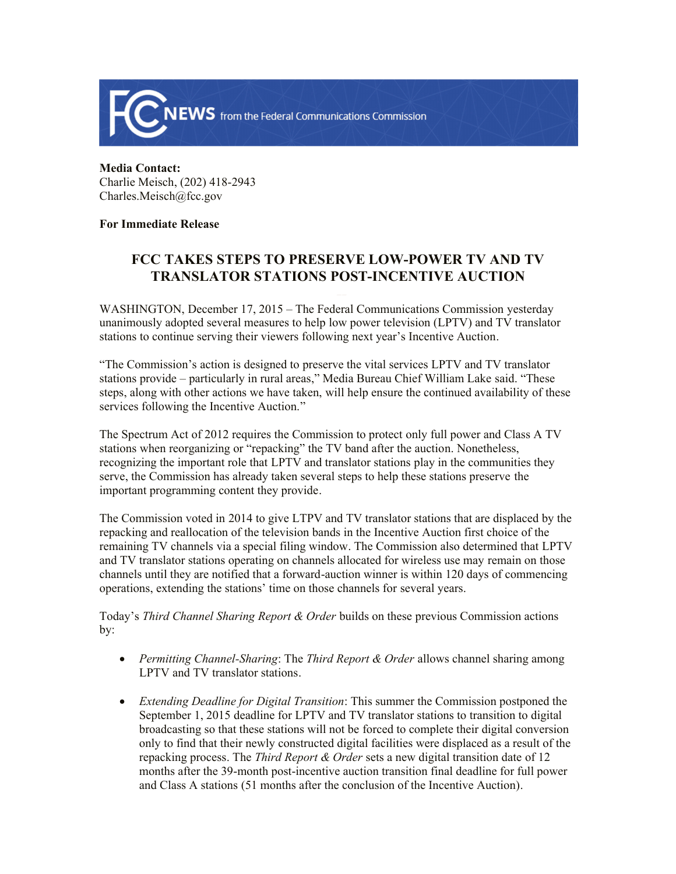

## **Media Contact:**  Charlie Meisch, (202) 418-2943 Charles.Meisch@fcc.gov

## **For Immediate Release**

## **FCC TAKES STEPS TO PRESERVE LOW-POWER TV AND TV TRANSLATOR STATIONS POST-INCENTIVE AUCTION**

WASHINGTON, December 17, 2015 – The Federal Communications Commission yesterday unanimously adopted several measures to help low power television (LPTV) and TV translator stations to continue serving their viewers following next year's Incentive Auction.

"The Commission's action is designed to preserve the vital services LPTV and TV translator stations provide – particularly in rural areas," Media Bureau Chief William Lake said. "These steps, along with other actions we have taken, will help ensure the continued availability of these services following the Incentive Auction."

The Spectrum Act of 2012 requires the Commission to protect only full power and Class A TV stations when reorganizing or "repacking" the TV band after the auction. Nonetheless, recognizing the important role that LPTV and translator stations play in the communities they serve, the Commission has already taken several steps to help these stations preserve the important programming content they provide.

The Commission voted in 2014 to give LTPV and TV translator stations that are displaced by the repacking and reallocation of the television bands in the Incentive Auction first choice of the remaining TV channels via a special filing window. The Commission also determined that LPTV and TV translator stations operating on channels allocated for wireless use may remain on those channels until they are notified that a forward-auction winner is within 120 days of commencing operations, extending the stations' time on those channels for several years.

Today's *Third Channel Sharing Report & Order* builds on these previous Commission actions by:

- *Permitting Channel-Sharing*: The *Third Report & Order* allows channel sharing among LPTV and TV translator stations.
- *Extending Deadline for Digital Transition*: This summer the Commission postponed the September 1, 2015 deadline for LPTV and TV translator stations to transition to digital broadcasting so that these stations will not be forced to complete their digital conversion only to find that their newly constructed digital facilities were displaced as a result of the repacking process. The *Third Report & Order* sets a new digital transition date of 12 months after the 39-month post-incentive auction transition final deadline for full power and Class A stations (51 months after the conclusion of the Incentive Auction).